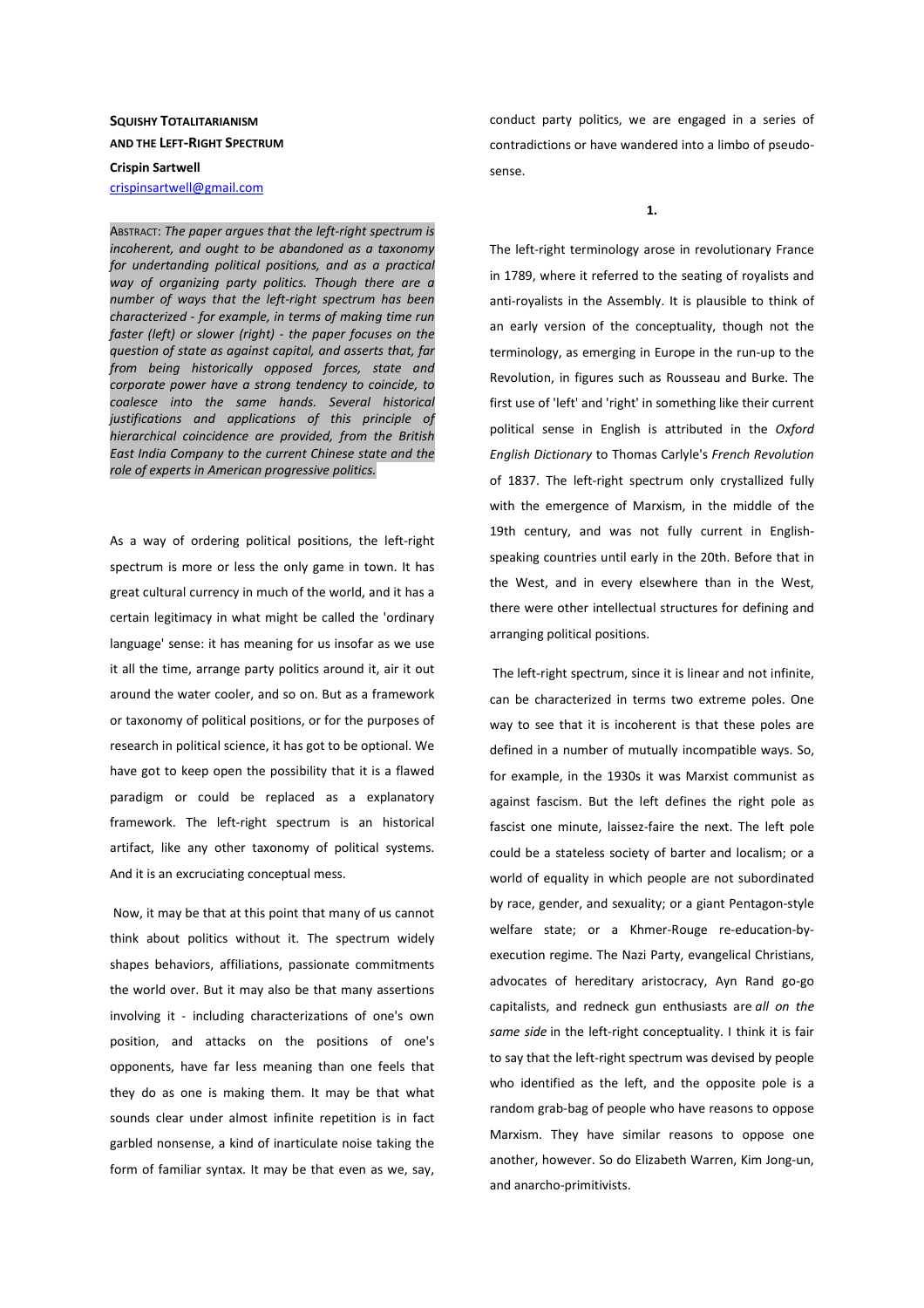# **SQUISHY TOTALITARIANISM AND THE LEFT-RIGHT SPECTRUM**

#### **Crispin Sartwell**

crispinsartwell@gmail.com

ABSTRACT: *The paper argues that the left-right spectrum is incoherent, and ought to be abandoned as a taxonomy for undertanding political positions, and as a practical way of organizing party politics. Though there are a number of ways that the left-right spectrum has been characterized - for example, in terms of making time run faster (left) or slower (right) - the paper focuses on the question of state as against capital, and asserts that, far from being historically opposed forces, state and corporate power have a strong tendency to coincide, to coalesce into the same hands. Several historical justifications and applications of this principle of hierarchical coincidence are provided, from the British East India Company to the current Chinese state and the role of experts in American progressive politics.* 

As a way of ordering political positions, the left-right spectrum is more or less the only game in town. It has great cultural currency in much of the world, and it has a certain legitimacy in what might be called the 'ordinary language' sense: it has meaning for us insofar as we use it all the time, arrange party politics around it, air it out around the water cooler, and so on. But as a framework or taxonomy of political positions, or for the purposes of research in political science, it has got to be optional. We have got to keep open the possibility that it is a flawed paradigm or could be replaced as a explanatory framework. The left-right spectrum is an historical artifact, like any other taxonomy of political systems. And it is an excruciating conceptual mess.

 Now, it may be that at this point that many of us cannot think about politics without it. The spectrum widely shapes behaviors, affiliations, passionate commitments the world over. But it may also be that many assertions involving it - including characterizations of one's own position, and attacks on the positions of one's opponents, have far less meaning than one feels that they do as one is making them. It may be that what sounds clear under almost infinite repetition is in fact garbled nonsense, a kind of inarticulate noise taking the form of familiar syntax. It may be that even as we, say, conduct party politics, we are engaged in a series of contradictions or have wandered into a limbo of pseudosense.

#### **1.**

The left-right terminology arose in revolutionary France in 1789, where it referred to the seating of royalists and anti-royalists in the Assembly. It is plausible to think of an early version of the conceptuality, though not the terminology, as emerging in Europe in the run-up to the Revolution, in figures such as Rousseau and Burke. The first use of 'left' and 'right' in something like their current political sense in English is attributed in the *Oxford English Dictionary* to Thomas Carlyle's *French Revolution* of 1837. The left-right spectrum only crystallized fully with the emergence of Marxism, in the middle of the 19th century, and was not fully current in Englishspeaking countries until early in the 20th. Before that in the West, and in every elsewhere than in the West, there were other intellectual structures for defining and arranging political positions.

 The left-right spectrum, since it is linear and not infinite, can be characterized in terms two extreme poles. One way to see that it is incoherent is that these poles are defined in a number of mutually incompatible ways. So, for example, in the 1930s it was Marxist communist as against fascism. But the left defines the right pole as fascist one minute, laissez-faire the next. The left pole could be a stateless society of barter and localism; or a world of equality in which people are not subordinated by race, gender, and sexuality; or a giant Pentagon-style welfare state; or a Khmer-Rouge re-education-byexecution regime. The Nazi Party, evangelical Christians, advocates of hereditary aristocracy, Ayn Rand go-go capitalists, and redneck gun enthusiasts are *all on the same side* in the left-right conceptuality. I think it is fair to say that the left-right spectrum was devised by people who identified as the left, and the opposite pole is a random grab-bag of people who have reasons to oppose Marxism. They have similar reasons to oppose one another, however. So do Elizabeth Warren, Kim Jong-un, and anarcho-primitivists.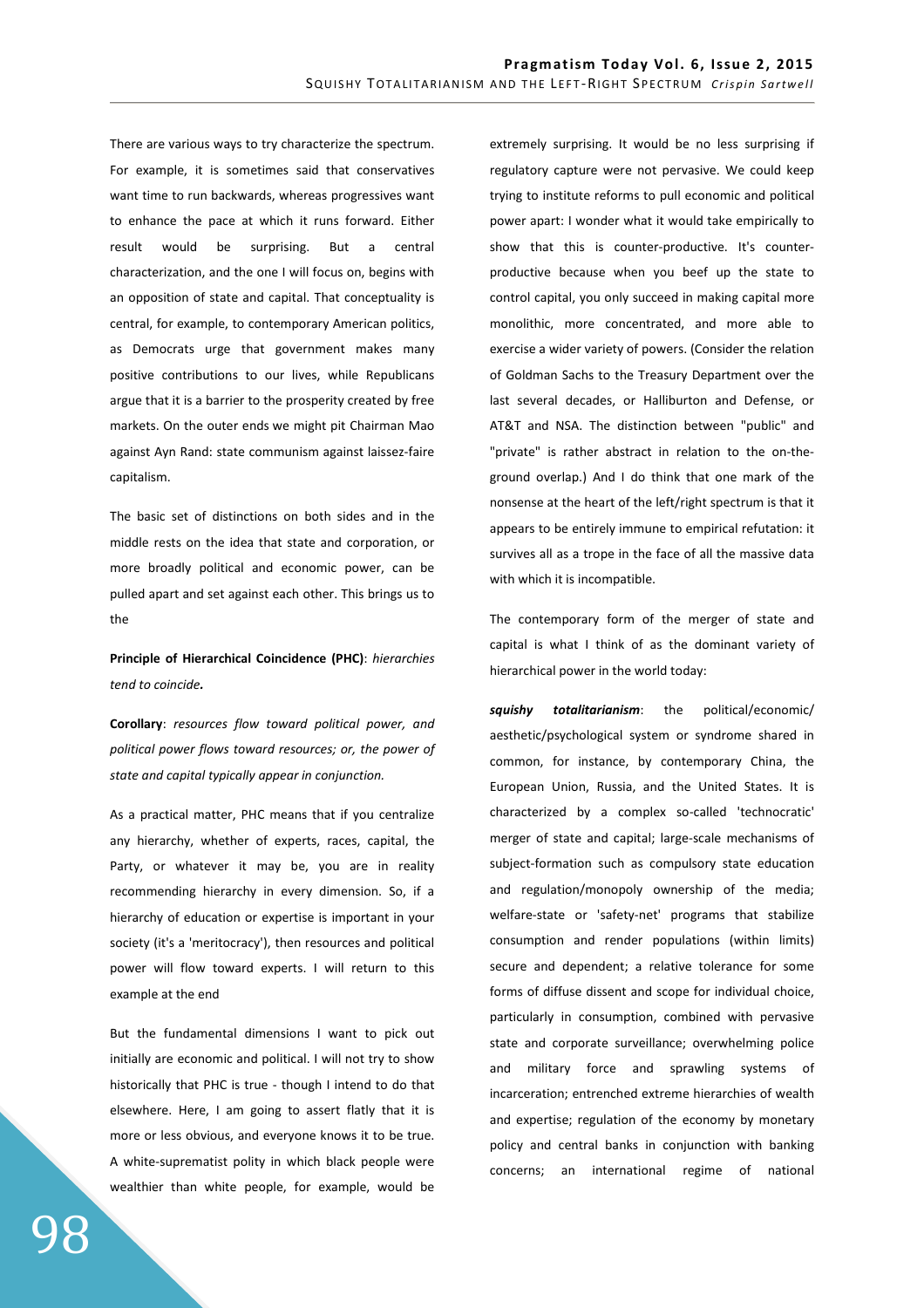There are various ways to try characterize the spectrum. For example, it is sometimes said that conservatives want time to run backwards, whereas progressives want to enhance the pace at which it runs forward. Either result would be surprising. But a central characterization, and the one I will focus on, begins with an opposition of state and capital. That conceptuality is central, for example, to contemporary American politics, as Democrats urge that government makes many positive contributions to our lives, while Republicans argue that it is a barrier to the prosperity created by free markets. On the outer ends we might pit Chairman Mao against Ayn Rand: state communism against laissez-faire capitalism.

The basic set of distinctions on both sides and in the middle rests on the idea that state and corporation, or more broadly political and economic power, can be pulled apart and set against each other. This brings us to the

**Principle of Hierarchical Coincidence (PHC)**: *hierarchies tend to coincide.* 

**Corollary**: *resources flow toward political power, and political power flows toward resources; or, the power of state and capital typically appear in conjunction.*

As a practical matter, PHC means that if you centralize any hierarchy, whether of experts, races, capital, the Party, or whatever it may be, you are in reality recommending hierarchy in every dimension. So, if a hierarchy of education or expertise is important in your society (it's a 'meritocracy'), then resources and political power will flow toward experts. I will return to this example at the end

But the fundamental dimensions I want to pick out initially are economic and political. I will not try to show historically that PHC is true - though I intend to do that elsewhere. Here, I am going to assert flatly that it is more or less obvious, and everyone knows it to be true. A white-suprematist polity in which black people were wealthier than white people, for example, would be extremely surprising. It would be no less surprising if regulatory capture were not pervasive. We could keep trying to institute reforms to pull economic and political power apart: I wonder what it would take empirically to show that this is counter-productive. It's counterproductive because when you beef up the state to control capital, you only succeed in making capital more monolithic, more concentrated, and more able to exercise a wider variety of powers. (Consider the relation of Goldman Sachs to the Treasury Department over the last several decades, or Halliburton and Defense, or AT&T and NSA. The distinction between "public" and "private" is rather abstract in relation to the on-theground overlap.) And I do think that one mark of the nonsense at the heart of the left/right spectrum is that it appears to be entirely immune to empirical refutation: it survives all as a trope in the face of all the massive data with which it is incompatible.

The contemporary form of the merger of state and capital is what I think of as the dominant variety of hierarchical power in the world today:

*squishy totalitarianism*: the political/economic/ aesthetic/psychological system or syndrome shared in common, for instance, by contemporary China, the European Union, Russia, and the United States. It is characterized by a complex so-called 'technocratic' merger of state and capital; large-scale mechanisms of subject-formation such as compulsory state education and regulation/monopoly ownership of the media; welfare-state or 'safety-net' programs that stabilize consumption and render populations (within limits) secure and dependent; a relative tolerance for some forms of diffuse dissent and scope for individual choice, particularly in consumption, combined with pervasive state and corporate surveillance; overwhelming police and military force and sprawling systems of incarceration; entrenched extreme hierarchies of wealth and expertise; regulation of the economy by monetary policy and central banks in conjunction with banking concerns; an international regime of national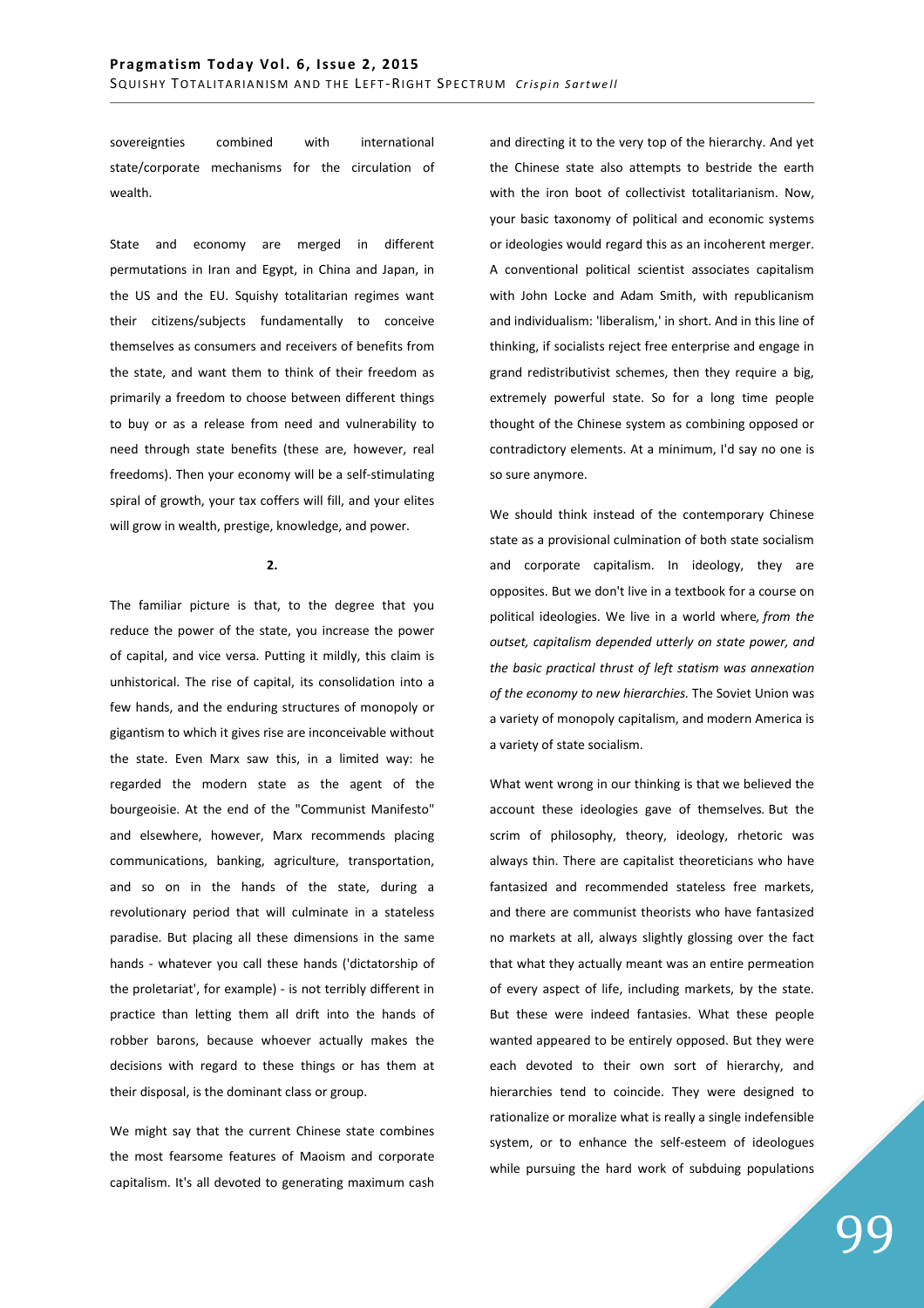sovereignties combined with international state/corporate mechanisms for the circulation of wealth.

State and economy are merged in different permutations in Iran and Egypt, in China and Japan, in the US and the EU. Squishy totalitarian regimes want their citizens/subjects fundamentally to conceive themselves as consumers and receivers of benefits from the state, and want them to think of their freedom as primarily a freedom to choose between different things to buy or as a release from need and vulnerability to need through state benefits (these are, however, real freedoms). Then your economy will be a self-stimulating spiral of growth, your tax coffers will fill, and your elites will grow in wealth, prestige, knowledge, and power.

**2.** 

The familiar picture is that, to the degree that you reduce the power of the state, you increase the power of capital, and vice versa. Putting it mildly, this claim is unhistorical. The rise of capital, its consolidation into a few hands, and the enduring structures of monopoly or gigantism to which it gives rise are inconceivable without the state. Even Marx saw this, in a limited way: he regarded the modern state as the agent of the bourgeoisie. At the end of the "Communist Manifesto" and elsewhere, however, Marx recommends placing communications, banking, agriculture, transportation, and so on in the hands of the state, during a revolutionary period that will culminate in a stateless paradise. But placing all these dimensions in the same hands - whatever you call these hands ('dictatorship of the proletariat', for example) - is not terribly different in practice than letting them all drift into the hands of robber barons, because whoever actually makes the decisions with regard to these things or has them at their disposal, is the dominant class or group.

We might say that the current Chinese state combines the most fearsome features of Maoism and corporate capitalism. It's all devoted to generating maximum cash and directing it to the very top of the hierarchy. And yet the Chinese state also attempts to bestride the earth with the iron boot of collectivist totalitarianism. Now, your basic taxonomy of political and economic systems or ideologies would regard this as an incoherent merger. A conventional political scientist associates capitalism with John Locke and Adam Smith, with republicanism and individualism: 'liberalism,' in short. And in this line of thinking, if socialists reject free enterprise and engage in grand redistributivist schemes, then they require a big, extremely powerful state. So for a long time people thought of the Chinese system as combining opposed or contradictory elements. At a minimum, I'd say no one is so sure anymore.

We should think instead of the contemporary Chinese state as a provisional culmination of both state socialism and corporate capitalism. In ideology, they are opposites. But we don't live in a textbook for a course on political ideologies. We live in a world where*, from the outset, capitalism depended utterly on state power, and the basic practical thrust of left statism was annexation of the economy to new hierarchies.* The Soviet Union was a variety of monopoly capitalism, and modern America is a variety of state socialism.

What went wrong in our thinking is that we believed the account these ideologies gave of themselves*.* But the scrim of philosophy, theory, ideology, rhetoric was always thin. There are capitalist theoreticians who have fantasized and recommended stateless free markets, and there are communist theorists who have fantasized no markets at all, always slightly glossing over the fact that what they actually meant was an entire permeation of every aspect of life, including markets, by the state. But these were indeed fantasies. What these people wanted appeared to be entirely opposed. But they were each devoted to their own sort of hierarchy, and hierarchies tend to coincide. They were designed to rationalize or moralize what is really a single indefensible system, or to enhance the self-esteem of ideologues while pursuing the hard work of subduing populations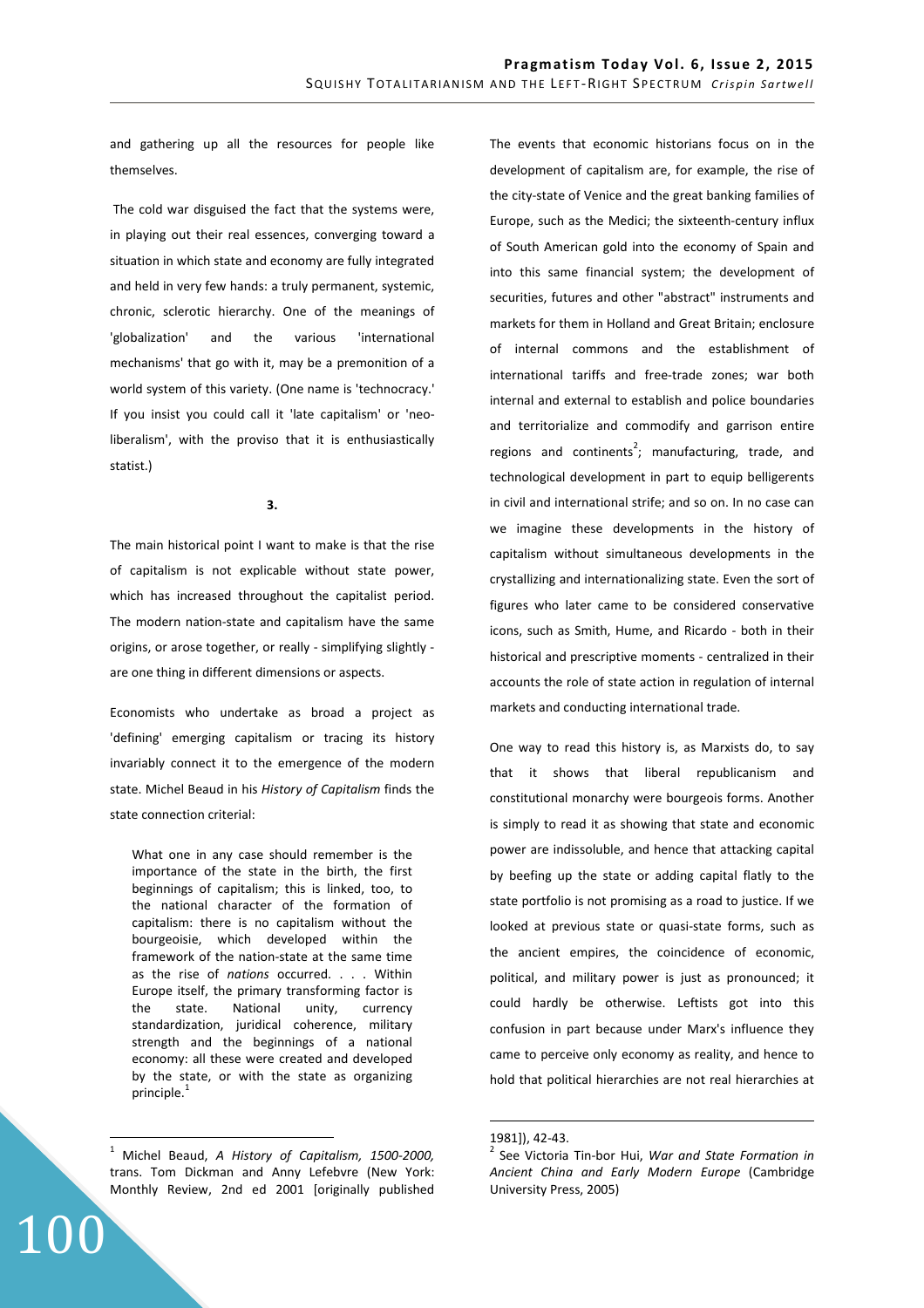and gathering up all the resources for people like themselves.

 The cold war disguised the fact that the systems were, in playing out their real essences, converging toward a situation in which state and economy are fully integrated and held in very few hands: a truly permanent, systemic, chronic, sclerotic hierarchy. One of the meanings of 'globalization' and the various 'international mechanisms' that go with it, may be a premonition of a world system of this variety. (One name is 'technocracy.' If you insist you could call it 'late capitalism' or 'neoliberalism', with the proviso that it is enthusiastically statist.)

### **3.**

The main historical point I want to make is that the rise of capitalism is not explicable without state power, which has increased throughout the capitalist period. The modern nation-state and capitalism have the same origins, or arose together, or really - simplifying slightly are one thing in different dimensions or aspects.

Economists who undertake as broad a project as 'defining' emerging capitalism or tracing its history invariably connect it to the emergence of the modern state. Michel Beaud in his *History of Capitalism* finds the state connection criterial:

What one in any case should remember is the importance of the state in the birth, the first beginnings of capitalism; this is linked, too, to the national character of the formation of capitalism: there is no capitalism without the bourgeoisie, which developed within the framework of the nation-state at the same time as the rise of *nations* occurred. . . . Within Europe itself, the primary transforming factor is the state. National unity, currency standardization, juridical coherence, military strength and the beginnings of a national economy: all these were created and developed by the state, or with the state as organizing principle. $<sup>1</sup>$ </sup>

1 Michel Beaud, *A History of Capitalism, 1500-2000,*  trans. Tom Dickman and Anny Lefebvre (New York: Monthly Review, 2nd ed 2001 [originally published

100

 $\overline{a}$ 

The events that economic historians focus on in the development of capitalism are, for example, the rise of the city-state of Venice and the great banking families of Europe, such as the Medici; the sixteenth-century influx of South American gold into the economy of Spain and into this same financial system; the development of securities, futures and other "abstract" instruments and markets for them in Holland and Great Britain; enclosure of internal commons and the establishment of international tariffs and free-trade zones; war both internal and external to establish and police boundaries and territorialize and commodify and garrison entire regions and continents<sup>2</sup>; manufacturing, trade, and technological development in part to equip belligerents in civil and international strife; and so on. In no case can we imagine these developments in the history of capitalism without simultaneous developments in the crystallizing and internationalizing state. Even the sort of figures who later came to be considered conservative icons, such as Smith, Hume, and Ricardo - both in their historical and prescriptive moments - centralized in their accounts the role of state action in regulation of internal markets and conducting international trade.

One way to read this history is, as Marxists do, to say that it shows that liberal republicanism and constitutional monarchy were bourgeois forms. Another is simply to read it as showing that state and economic power are indissoluble, and hence that attacking capital by beefing up the state or adding capital flatly to the state portfolio is not promising as a road to justice. If we looked at previous state or quasi-state forms, such as the ancient empires, the coincidence of economic, political, and military power is just as pronounced; it could hardly be otherwise. Leftists got into this confusion in part because under Marx's influence they came to perceive only economy as reality, and hence to hold that political hierarchies are not real hierarchies at

 $\overline{a}$ 

<sup>1981]), 42-43.</sup> 

<sup>2</sup> See Victoria Tin-bor Hui, *War and State Formation in Ancient China and Early Modern Europe* (Cambridge University Press, 2005)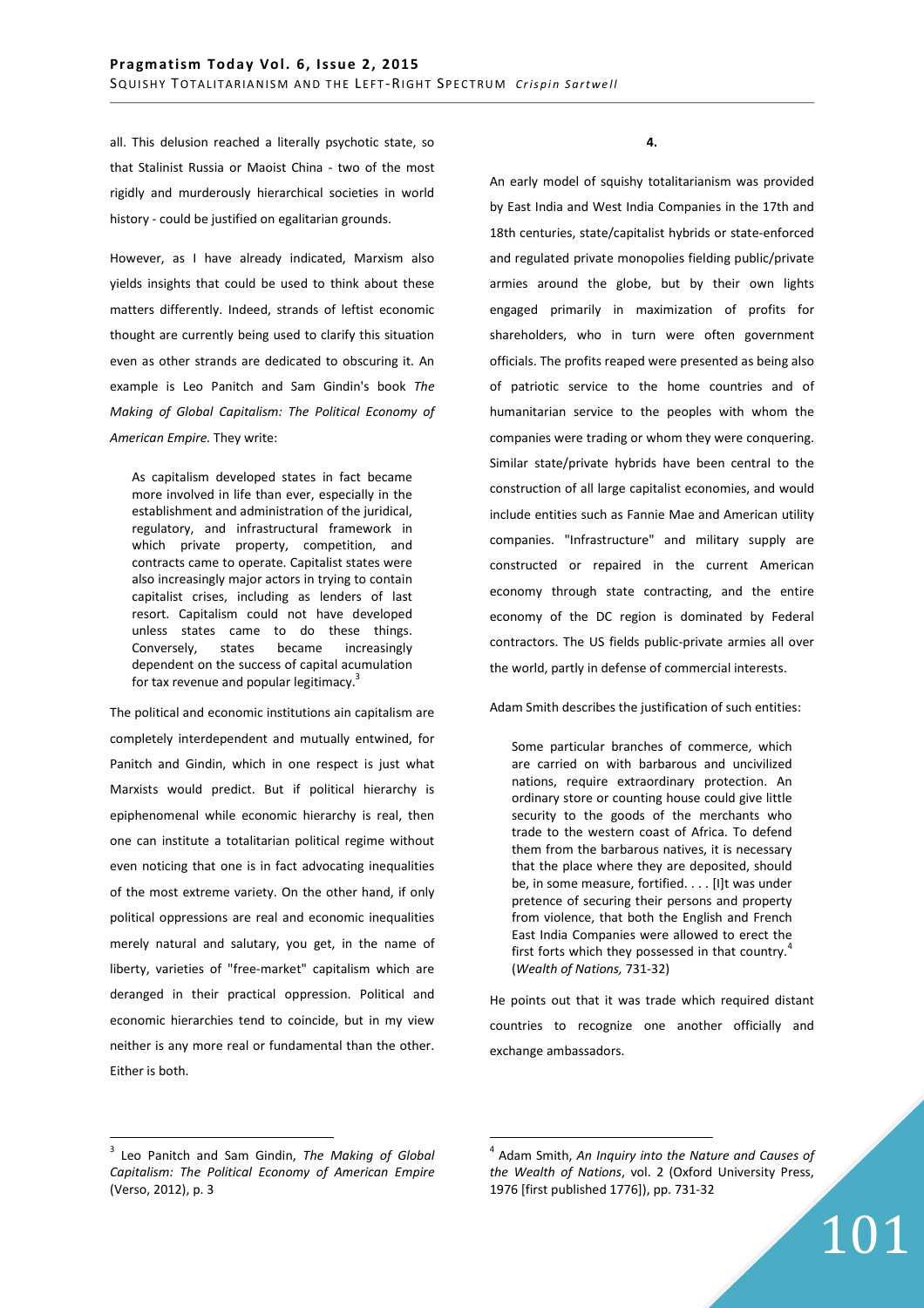all. This delusion reached a literally psychotic state, so that Stalinist Russia or Maoist China - two of the most rigidly and murderously hierarchical societies in world history - could be justified on egalitarian grounds.

However, as I have already indicated, Marxism also yields insights that could be used to think about these matters differently. Indeed, strands of leftist economic thought are currently being used to clarify this situation even as other strands are dedicated to obscuring it. An example is Leo Panitch and Sam Gindin's book *The Making of Global Capitalism: The Political Economy of American Empire.* They write:

As capitalism developed states in fact became more involved in life than ever, especially in the establishment and administration of the juridical, regulatory, and infrastructural framework in which private property, competition, and contracts came to operate. Capitalist states were also increasingly major actors in trying to contain capitalist crises, including as lenders of last resort. Capitalism could not have developed unless states came to do these things. Conversely, states became increasingly dependent on the success of capital acumulation for tax revenue and popular legitimacy.<sup>3</sup>

The political and economic institutions ain capitalism are completely interdependent and mutually entwined, for Panitch and Gindin, which in one respect is just what Marxists would predict. But if political hierarchy is epiphenomenal while economic hierarchy is real, then one can institute a totalitarian political regime without even noticing that one is in fact advocating inequalities of the most extreme variety. On the other hand, if only political oppressions are real and economic inequalities merely natural and salutary, you get, in the name of liberty, varieties of "free-market" capitalism which are deranged in their practical oppression. Political and economic hierarchies tend to coincide, but in my view neither is any more real or fundamental than the other. Either is both.

**4.** 

An early model of squishy totalitarianism was provided by East India and West India Companies in the 17th and 18th centuries, state/capitalist hybrids or state-enforced and regulated private monopolies fielding public/private armies around the globe, but by their own lights engaged primarily in maximization of profits for shareholders, who in turn were often government officials. The profits reaped were presented as being also of patriotic service to the home countries and of humanitarian service to the peoples with whom the companies were trading or whom they were conquering. Similar state/private hybrids have been central to the construction of all large capitalist economies, and would include entities such as Fannie Mae and American utility companies. "Infrastructure" and military supply are constructed or repaired in the current American economy through state contracting, and the entire economy of the DC region is dominated by Federal contractors. The US fields public-private armies all over the world, partly in defense of commercial interests.

Adam Smith describes the justification of such entities:

Some particular branches of commerce, which are carried on with barbarous and uncivilized nations, require extraordinary protection. An ordinary store or counting house could give little security to the goods of the merchants who trade to the western coast of Africa. To defend them from the barbarous natives, it is necessary that the place where they are deposited, should be, in some measure, fortified. . . . [I]t was under pretence of securing their persons and property from violence, that both the English and French East India Companies were allowed to erect the first forts which they possessed in that country.<sup>4</sup> (*Wealth of Nations,* 731-32)

He points out that it was trade which required distant countries to recognize one another officially and exchange ambassadors.

 $\overline{a}$ 

 $\overline{a}$ 

101

<sup>3</sup> Leo Panitch and Sam Gindin, *The Making of Global Capitalism: The Political Economy of American Empire*  (Verso, 2012), p. 3

<sup>4</sup> Adam Smith, *An Inquiry into the Nature and Causes of the Wealth of Nations*, vol. 2 (Oxford University Press, 1976 [first published 1776]), pp. 731-32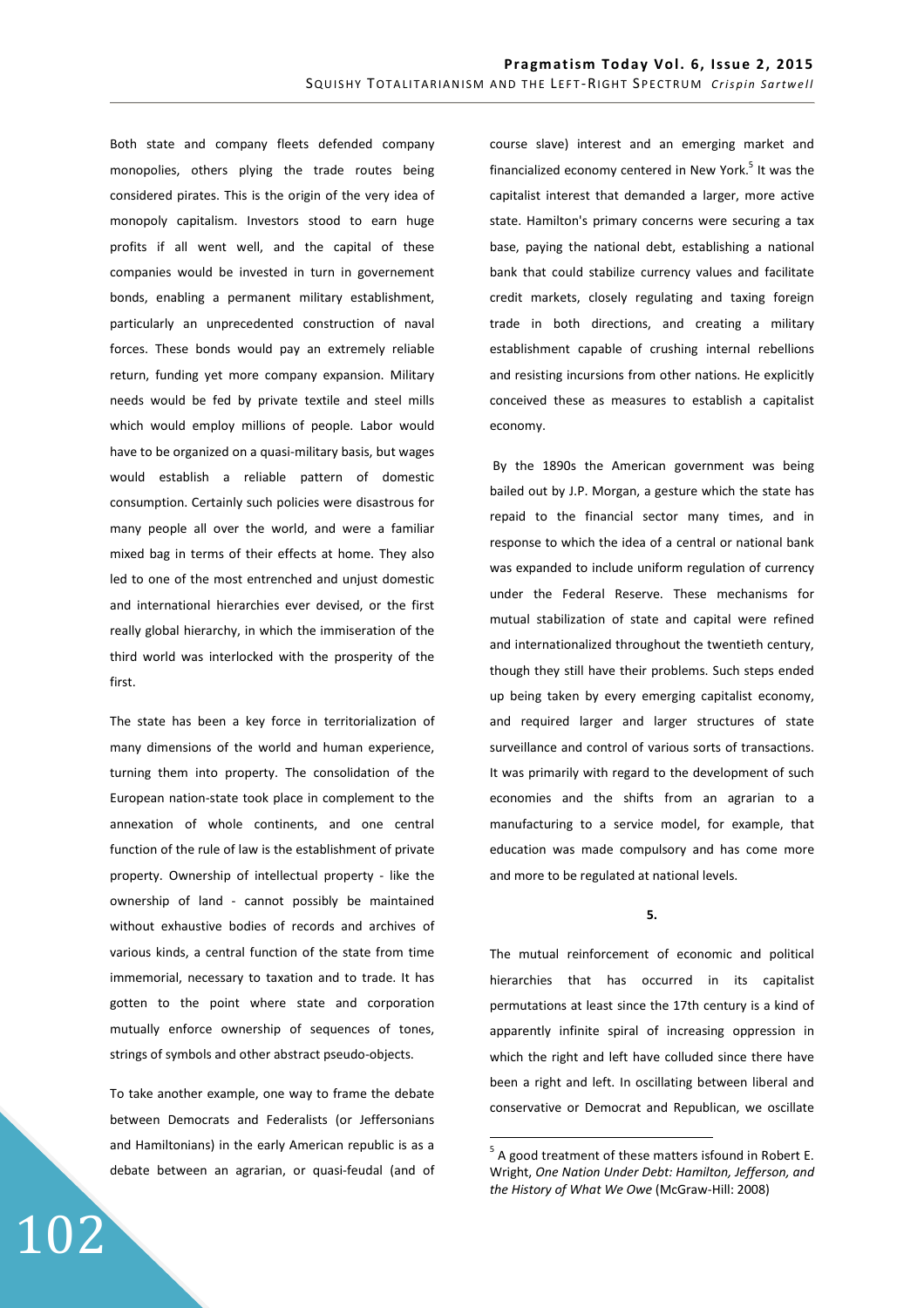Both state and company fleets defended company monopolies, others plying the trade routes being considered pirates. This is the origin of the very idea of monopoly capitalism. Investors stood to earn huge profits if all went well, and the capital of these companies would be invested in turn in governement bonds, enabling a permanent military establishment, particularly an unprecedented construction of naval forces. These bonds would pay an extremely reliable return, funding yet more company expansion. Military needs would be fed by private textile and steel mills which would employ millions of people. Labor would have to be organized on a quasi-military basis, but wages would establish a reliable pattern of domestic consumption. Certainly such policies were disastrous for many people all over the world, and were a familiar mixed bag in terms of their effects at home. They also led to one of the most entrenched and unjust domestic and international hierarchies ever devised, or the first really global hierarchy, in which the immiseration of the third world was interlocked with the prosperity of the first.

The state has been a key force in territorialization of many dimensions of the world and human experience, turning them into property. The consolidation of the European nation-state took place in complement to the annexation of whole continents, and one central function of the rule of law is the establishment of private property. Ownership of intellectual property - like the ownership of land - cannot possibly be maintained without exhaustive bodies of records and archives of various kinds, a central function of the state from time immemorial, necessary to taxation and to trade. It has gotten to the point where state and corporation mutually enforce ownership of sequences of tones, strings of symbols and other abstract pseudo-objects.

To take another example, one way to frame the debate between Democrats and Federalists (or Jeffersonians and Hamiltonians) in the early American republic is as a debate between an agrarian, or quasi-feudal (and of

102

course slave) interest and an emerging market and financialized economy centered in New York.<sup>5</sup> It was the capitalist interest that demanded a larger, more active state. Hamilton's primary concerns were securing a tax base, paying the national debt, establishing a national bank that could stabilize currency values and facilitate credit markets, closely regulating and taxing foreign trade in both directions, and creating a military establishment capable of crushing internal rebellions and resisting incursions from other nations. He explicitly conceived these as measures to establish a capitalist economy.

 By the 1890s the American government was being bailed out by J.P. Morgan, a gesture which the state has repaid to the financial sector many times, and in response to which the idea of a central or national bank was expanded to include uniform regulation of currency under the Federal Reserve. These mechanisms for mutual stabilization of state and capital were refined and internationalized throughout the twentieth century, though they still have their problems. Such steps ended up being taken by every emerging capitalist economy, and required larger and larger structures of state surveillance and control of various sorts of transactions. It was primarily with regard to the development of such economies and the shifts from an agrarian to a manufacturing to a service model, for example, that education was made compulsory and has come more and more to be regulated at national levels.

## **5.**

The mutual reinforcement of economic and political hierarchies that has occurred in its capitalist permutations at least since the 17th century is a kind of apparently infinite spiral of increasing oppression in which the right and left have colluded since there have been a right and left. In oscillating between liberal and conservative or Democrat and Republican, we oscillate

 $\overline{a}$ 

 $<sup>5</sup>$  A good treatment of these matters isfound in Robert E.</sup> Wright, *One Nation Under Debt: Hamilton, Jefferson, and the History of What We Owe* (McGraw-Hill: 2008)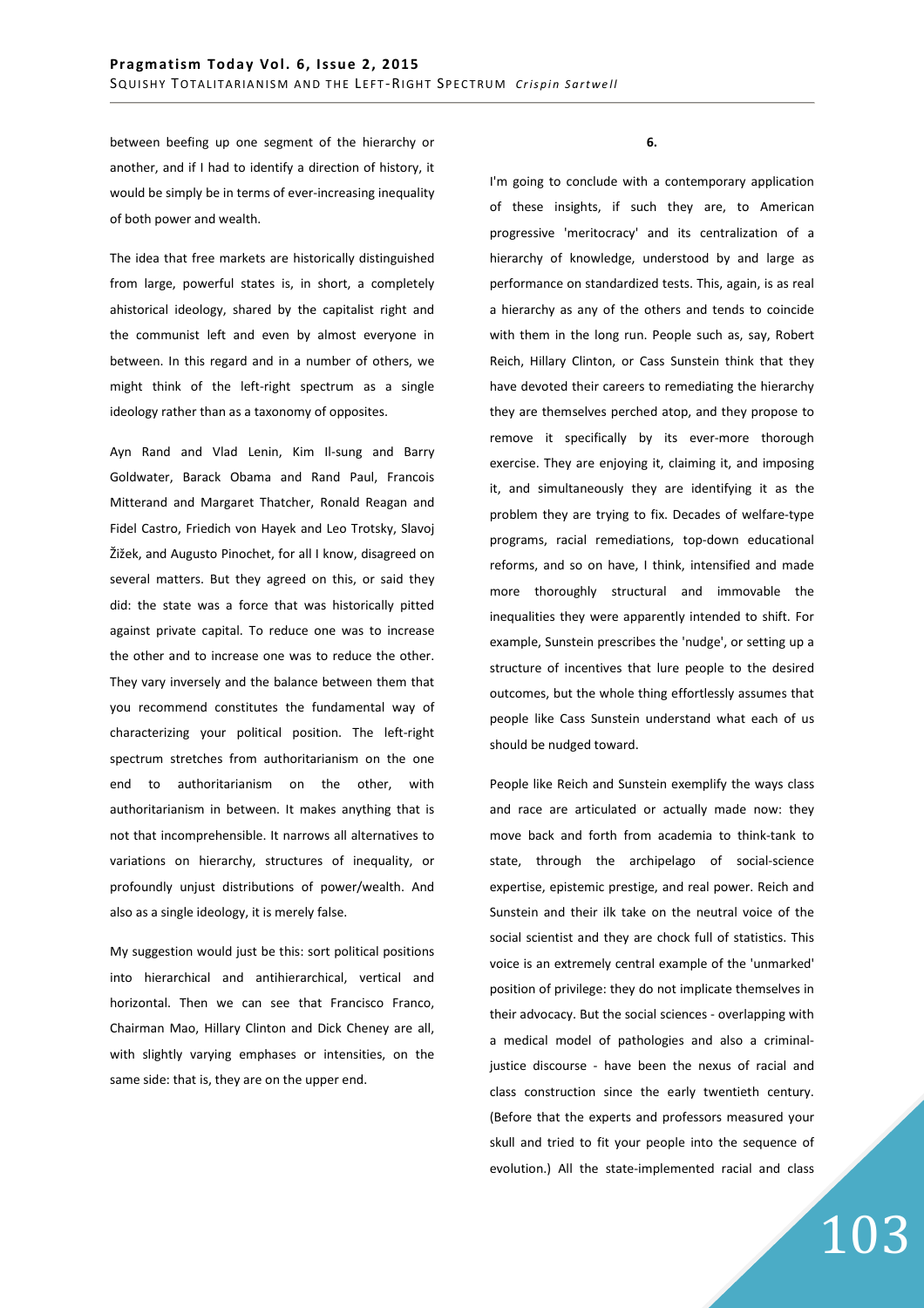between beefing up one segment of the hierarchy or another, and if I had to identify a direction of history, it would be simply be in terms of ever-increasing inequality of both power and wealth.

The idea that free markets are historically distinguished from large, powerful states is, in short, a completely ahistorical ideology, shared by the capitalist right and the communist left and even by almost everyone in between. In this regard and in a number of others, we might think of the left-right spectrum as a single ideology rather than as a taxonomy of opposites.

Ayn Rand and Vlad Lenin, Kim Il-sung and Barry Goldwater, Barack Obama and Rand Paul, Francois Mitterand and Margaret Thatcher, Ronald Reagan and Fidel Castro, Friedich von Hayek and Leo Trotsky, Slavoj Žižek, and Augusto Pinochet, for all I know, disagreed on several matters. But they agreed on this, or said they did: the state was a force that was historically pitted against private capital. To reduce one was to increase the other and to increase one was to reduce the other. They vary inversely and the balance between them that you recommend constitutes the fundamental way of characterizing your political position. The left-right spectrum stretches from authoritarianism on the one end to authoritarianism on the other, with authoritarianism in between. It makes anything that is not that incomprehensible. It narrows all alternatives to variations on hierarchy, structures of inequality, or profoundly unjust distributions of power/wealth. And also as a single ideology, it is merely false.

My suggestion would just be this: sort political positions into hierarchical and antihierarchical, vertical and horizontal. Then we can see that Francisco Franco, Chairman Mao, Hillary Clinton and Dick Cheney are all, with slightly varying emphases or intensities, on the same side: that is, they are on the upper end.

**6.** 

I'm going to conclude with a contemporary application of these insights, if such they are, to American progressive 'meritocracy' and its centralization of a hierarchy of knowledge, understood by and large as performance on standardized tests. This, again, is as real a hierarchy as any of the others and tends to coincide with them in the long run. People such as, say, Robert Reich, Hillary Clinton, or Cass Sunstein think that they have devoted their careers to remediating the hierarchy they are themselves perched atop, and they propose to remove it specifically by its ever-more thorough exercise. They are enjoying it, claiming it, and imposing it, and simultaneously they are identifying it as the problem they are trying to fix. Decades of welfare-type programs, racial remediations, top-down educational reforms, and so on have, I think, intensified and made more thoroughly structural and immovable the inequalities they were apparently intended to shift. For example, Sunstein prescribes the 'nudge', or setting up a structure of incentives that lure people to the desired outcomes, but the whole thing effortlessly assumes that people like Cass Sunstein understand what each of us should be nudged toward.

People like Reich and Sunstein exemplify the ways class and race are articulated or actually made now: they move back and forth from academia to think-tank to state, through the archipelago of social-science expertise, epistemic prestige, and real power. Reich and Sunstein and their ilk take on the neutral voice of the social scientist and they are chock full of statistics. This voice is an extremely central example of the 'unmarked' position of privilege: they do not implicate themselves in their advocacy. But the social sciences - overlapping with a medical model of pathologies and also a criminaljustice discourse - have been the nexus of racial and class construction since the early twentieth century. (Before that the experts and professors measured your skull and tried to fit your people into the sequence of evolution.) All the state-implemented racial and class

103